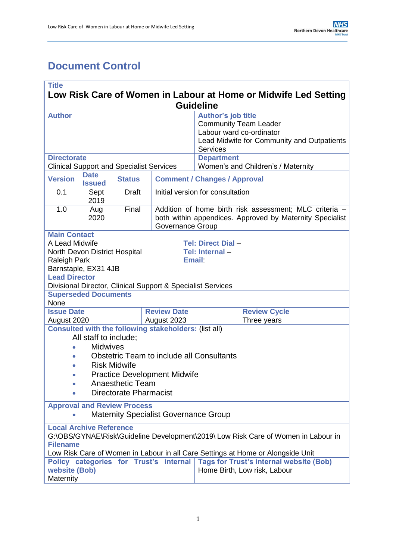# <span id="page-0-0"></span>**Document Control**

| <b>Title</b><br>Low Risk Care of Women in Labour at Home or Midwife Led Setting                                                                                                                                                           |                                                                                                                                        |                                                 |                    |                                                                                                                                        |                                                                                                                                                 |                                    |  |
|-------------------------------------------------------------------------------------------------------------------------------------------------------------------------------------------------------------------------------------------|----------------------------------------------------------------------------------------------------------------------------------------|-------------------------------------------------|--------------------|----------------------------------------------------------------------------------------------------------------------------------------|-------------------------------------------------------------------------------------------------------------------------------------------------|------------------------------------|--|
| <b>Guideline</b>                                                                                                                                                                                                                          |                                                                                                                                        |                                                 |                    |                                                                                                                                        |                                                                                                                                                 |                                    |  |
| <b>Author</b>                                                                                                                                                                                                                             |                                                                                                                                        |                                                 |                    |                                                                                                                                        | <b>Author's job title</b><br><b>Community Team Leader</b><br>Labour ward co-ordinator<br>Lead Midwife for Community and Outpatients<br>Services |                                    |  |
| <b>Directorate</b>                                                                                                                                                                                                                        |                                                                                                                                        |                                                 |                    |                                                                                                                                        | <b>Department</b>                                                                                                                               |                                    |  |
|                                                                                                                                                                                                                                           |                                                                                                                                        | <b>Clinical Support and Specialist Services</b> |                    |                                                                                                                                        |                                                                                                                                                 | Women's and Children's / Maternity |  |
| <b>Version</b>                                                                                                                                                                                                                            | <b>Date</b><br><b>Issued</b>                                                                                                           | <b>Status</b>                                   |                    | <b>Comment / Changes / Approval</b>                                                                                                    |                                                                                                                                                 |                                    |  |
| 0.1                                                                                                                                                                                                                                       | Sept<br>2019                                                                                                                           | <b>Draft</b>                                    |                    |                                                                                                                                        | Initial version for consultation                                                                                                                |                                    |  |
| 1.0                                                                                                                                                                                                                                       | Aug<br>2020                                                                                                                            | Final                                           |                    | Addition of home birth risk assessment; MLC criteria -<br>both within appendices. Approved by Maternity Specialist<br>Governance Group |                                                                                                                                                 |                                    |  |
| <b>Main Contact</b><br>A Lead Midwife<br>Tel: Direct Dial-<br>Tel: Internal-<br>North Devon District Hospital<br><b>Email:</b><br><b>Raleigh Park</b><br>Barnstaple, EX31 4JB                                                             |                                                                                                                                        |                                                 |                    |                                                                                                                                        |                                                                                                                                                 |                                    |  |
| <b>Lead Director</b>                                                                                                                                                                                                                      |                                                                                                                                        |                                                 |                    |                                                                                                                                        | Divisional Director, Clinical Support & Specialist Services                                                                                     |                                    |  |
|                                                                                                                                                                                                                                           | <b>Superseded Documents</b>                                                                                                            |                                                 |                    |                                                                                                                                        |                                                                                                                                                 |                                    |  |
| None                                                                                                                                                                                                                                      |                                                                                                                                        |                                                 |                    |                                                                                                                                        |                                                                                                                                                 |                                    |  |
| <b>Issue Date</b>                                                                                                                                                                                                                         |                                                                                                                                        |                                                 | <b>Review Date</b> |                                                                                                                                        |                                                                                                                                                 | <b>Review Cycle</b>                |  |
| August 2020                                                                                                                                                                                                                               |                                                                                                                                        |                                                 | August 2023        |                                                                                                                                        |                                                                                                                                                 | Three years                        |  |
| <b>Consulted with the following stakeholders: (list all)</b><br>All staff to include:<br><b>Midwives</b><br>۰                                                                                                                             |                                                                                                                                        |                                                 |                    |                                                                                                                                        |                                                                                                                                                 |                                    |  |
| ●                                                                                                                                                                                                                                         |                                                                                                                                        | <b>Risk Midwife</b>                             |                    |                                                                                                                                        | <b>Obstetric Team to include all Consultants</b>                                                                                                |                                    |  |
|                                                                                                                                                                                                                                           |                                                                                                                                        | <b>Practice Development Midwife</b>             |                    |                                                                                                                                        |                                                                                                                                                 |                                    |  |
|                                                                                                                                                                                                                                           |                                                                                                                                        | <b>Anaesthetic Team</b>                         |                    |                                                                                                                                        |                                                                                                                                                 |                                    |  |
|                                                                                                                                                                                                                                           |                                                                                                                                        | <b>Directorate Pharmacist</b>                   |                    |                                                                                                                                        |                                                                                                                                                 |                                    |  |
| <b>Approval and Review Process</b><br><b>Maternity Specialist Governance Group</b>                                                                                                                                                        |                                                                                                                                        |                                                 |                    |                                                                                                                                        |                                                                                                                                                 |                                    |  |
|                                                                                                                                                                                                                                           | <b>Local Archive Reference</b><br>G:\OBS/GYNAE\Risk\Guideline Development\2019\ Low Risk Care of Women in Labour in<br><b>Filename</b> |                                                 |                    |                                                                                                                                        |                                                                                                                                                 |                                    |  |
| Low Risk Care of Women in Labour in all Care Settings at Home or Alongside Unit<br><b>Tags for Trust's internal website (Bob)</b><br>Policy categories for Trust's internal<br>website (Bob)<br>Home Birth, Low risk, Labour<br>Maternity |                                                                                                                                        |                                                 |                    |                                                                                                                                        |                                                                                                                                                 |                                    |  |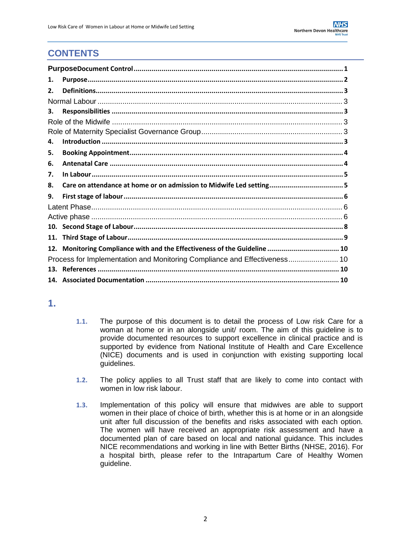## **CONTENTS**

<span id="page-1-0"></span>

| 1.  |                                                                           |  |
|-----|---------------------------------------------------------------------------|--|
| 2.  |                                                                           |  |
|     |                                                                           |  |
| З.  |                                                                           |  |
|     |                                                                           |  |
|     |                                                                           |  |
| 4.  |                                                                           |  |
| 5.  |                                                                           |  |
| 6.  |                                                                           |  |
| 7.  |                                                                           |  |
| 8.  |                                                                           |  |
| 9.  |                                                                           |  |
|     |                                                                           |  |
|     |                                                                           |  |
|     |                                                                           |  |
| 11. |                                                                           |  |
| 12. | Monitoring Compliance with and the Effectiveness of the Guideline  10     |  |
|     | Process for Implementation and Monitoring Compliance and Effectiveness 10 |  |
|     |                                                                           |  |
|     |                                                                           |  |

### **1.**

- **1.1.** The purpose of this document is to detail the process of Low risk Care for a woman at home or in an alongside unit/ room. The aim of this guideline is to provide documented resources to support excellence in clinical practice and is supported by evidence from National Institute of Health and Care Excellence (NICE) documents and is used in conjunction with existing supporting local guidelines.
- **1.2.** The policy applies to all Trust staff that are likely to come into contact with women in low risk labour.
- **1.3.** Implementation of this policy will ensure that midwives are able to support women in their place of choice of birth, whether this is at home or in an alongside unit after full discussion of the benefits and risks associated with each option. The women will have received an appropriate risk assessment and have a documented plan of care based on local and national guidance. This includes NICE recommendations and working in line with Better Births (NHSE, 2016). For a hospital birth, please refer to the Intrapartum Care of Healthy Women guideline.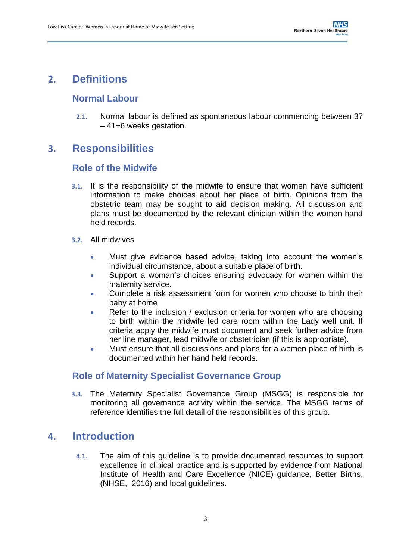## <span id="page-2-1"></span><span id="page-2-0"></span>**2. Definitions**

### **Normal Labour**

**2.1.** Normal labour is defined as spontaneous labour commencing between 37 – 41+6 weeks gestation.

### <span id="page-2-3"></span><span id="page-2-2"></span>**3. Responsibilities**

### **Role of the Midwife**

- **3.1.** It is the responsibility of the midwife to ensure that women have sufficient information to make choices about her place of birth. Opinions from the obstetric team may be sought to aid decision making. All discussion and plans must be documented by the relevant clinician within the women hand held records.
- **3.2.** All midwives
	- Must give evidence based advice, taking into account the women's individual circumstance, about a suitable place of birth.
	- Support a woman's choices ensuring advocacy for women within the maternity service.
	- Complete a risk assessment form for women who choose to birth their baby at home
	- Refer to the inclusion / exclusion criteria for women who are choosing to birth within the midwife led care room within the Lady well unit. If criteria apply the midwife must document and seek further advice from her line manager, lead midwife or obstetrician (if this is appropriate).
	- Must ensure that all discussions and plans for a women place of birth is documented within her hand held records.

### <span id="page-2-4"></span>**Role of Maternity Specialist Governance Group**

**3.3.** The Maternity Specialist Governance Group (MSGG) is responsible for monitoring all governance activity within the service. The MSGG terms of reference identifies the full detail of the responsibilities of this group.

### <span id="page-2-5"></span>**4. Introduction**

**4.1.** The aim of this guideline is to provide documented resources to support excellence in clinical practice and is supported by evidence from National Institute of Health and Care Excellence (NICE) guidance, Better Births, (NHSE, 2016) and local guidelines.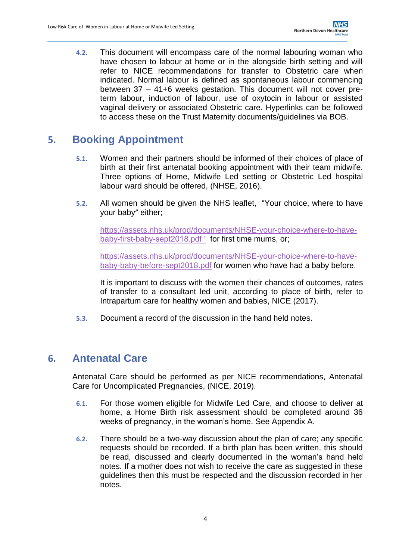**4.2.** This document will encompass care of the normal labouring woman who have chosen to labour at home or in the alongside birth setting and will refer to NICE recommendations for transfer to Obstetric care when indicated. Normal labour is defined as spontaneous labour commencing between 37 – 41+6 weeks gestation. This document will not cover preterm labour, induction of labour, use of oxytocin in labour or assisted vaginal delivery or associated Obstetric care. Hyperlinks can be followed to access these on the Trust Maternity documents/guidelines via BOB.

# <span id="page-3-0"></span>**5. Booking Appointment**

- **5.1.** Women and their partners should be informed of their choices of place of birth at their first antenatal booking appointment with their team midwife. Three options of Home, Midwife Led setting or Obstetric Led hospital labour ward should be offered, (NHSE, 2016).
- **5.2.** All women should be given the NHS leaflet, "Your choice, where to have your baby" either;

[https://assets.nhs.uk/prod/documents/NHSE-your-choice-where-to-have](https://assets.nhs.uk/prod/documents/NHSE-your-choice-where-to-have-baby-first-baby-sept2018.pdf%20‘)[baby-first-baby-sept2018.pdf '](https://assets.nhs.uk/prod/documents/NHSE-your-choice-where-to-have-baby-first-baby-sept2018.pdf%20‘) for first time mums, or;

[https://assets.nhs.uk/prod/documents/NHSE-your-choice-where-to-have](https://assets.nhs.uk/prod/documents/NHSE-your-choice-where-to-have-baby-baby-before-sept2018.pdf)[baby-baby-before-sept2018.pdf](https://assets.nhs.uk/prod/documents/NHSE-your-choice-where-to-have-baby-baby-before-sept2018.pdf) for women who have had a baby before.

It is important to discuss with the women their chances of outcomes, rates of transfer to a consultant led unit, according to place of birth, refer to Intrapartum care for healthy women and babies, NICE (2017).

**5.3.** Document a record of the discussion in the hand held notes.

## <span id="page-3-1"></span>**6. Antenatal Care**

Antenatal Care should be performed as per NICE recommendations, Antenatal Care for Uncomplicated Pregnancies, (NICE, 2019).

- **6.1.** For those women eligible for Midwife Led Care, and choose to deliver at home, a Home Birth risk assessment should be completed around 36 weeks of pregnancy, in the woman's home. See Appendix A.
- **6.2.** There should be a two-way discussion about the plan of care; any specific requests should be recorded. If a birth plan has been written, this should be read, discussed and clearly documented in the woman's hand held notes. If a mother does not wish to receive the care as suggested in these guidelines then this must be respected and the discussion recorded in her notes.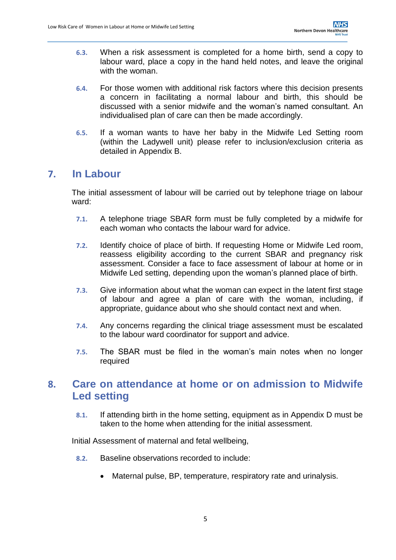- **6.3.** When a risk assessment is completed for a home birth, send a copy to labour ward, place a copy in the hand held notes, and leave the original with the woman.
- **6.4.** For those women with additional risk factors where this decision presents a concern in facilitating a normal labour and birth, this should be discussed with a senior midwife and the woman's named consultant. An individualised plan of care can then be made accordingly.
- **6.5.** If a woman wants to have her baby in the Midwife Led Setting room (within the Ladywell unit) please refer to inclusion/exclusion criteria as detailed in Appendix B.

### <span id="page-4-0"></span>**7. In Labour**

The initial assessment of labour will be carried out by telephone triage on labour ward:

- **7.1.** A telephone triage SBAR form must be fully completed by a midwife for each woman who contacts the labour ward for advice.
- **7.2.** Identify choice of place of birth. If requesting Home or Midwife Led room, reassess eligibility according to the current SBAR and pregnancy risk assessment. Consider a face to face assessment of labour at home or in Midwife Led setting, depending upon the woman's planned place of birth.
- **7.3.** Give information about what the woman can expect in the latent first stage of labour and agree a plan of care with the woman, including, if appropriate, guidance about who she should contact next and when.
- **7.4.** Any concerns regarding the clinical triage assessment must be escalated to the labour ward coordinator for support and advice.
- **7.5.** The SBAR must be filed in the woman's main notes when no longer required

## <span id="page-4-1"></span>**8. Care on attendance at home or on admission to Midwife Led setting**

**8.1.** If attending birth in the home setting, equipment as in Appendix D must be taken to the home when attending for the initial assessment.

Initial Assessment of maternal and fetal wellbeing,

- **8.2.** Baseline observations recorded to include:
	- Maternal pulse, BP, temperature, respiratory rate and urinalysis.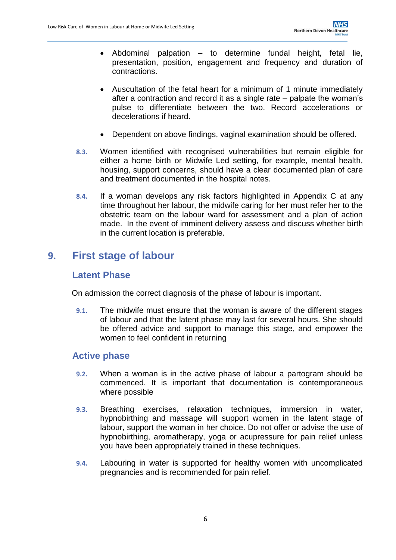- Abdominal palpation to determine fundal height, fetal lie, presentation, position, engagement and frequency and duration of contractions.
- Auscultation of the fetal heart for a minimum of 1 minute immediately after a contraction and record it as a single rate – palpate the woman's pulse to differentiate between the two. Record accelerations or decelerations if heard.
- Dependent on above findings, vaginal examination should be offered.
- **8.3.** Women identified with recognised vulnerabilities but remain eligible for either a home birth or Midwife Led setting, for example, mental health, housing, support concerns, should have a clear documented plan of care and treatment documented in the hospital notes.
- **8.4.** If a woman develops any risk factors highlighted in Appendix C at any time throughout her labour, the midwife caring for her must refer her to the obstetric team on the labour ward for assessment and a plan of action made. In the event of imminent delivery assess and discuss whether birth in the current location is preferable.

## <span id="page-5-1"></span><span id="page-5-0"></span>**9. First stage of labour**

### **Latent Phase**

On admission the correct diagnosis of the phase of labour is important.

**9.1.** The midwife must ensure that the woman is aware of the different stages of labour and that the latent phase may last for several hours. She should be offered advice and support to manage this stage, and empower the women to feel confident in returning

#### <span id="page-5-2"></span>**Active phase**

- **9.2.** When a woman is in the active phase of labour a partogram should be commenced. It is important that documentation is contemporaneous where possible
- **9.3.** Breathing exercises, relaxation techniques, immersion in water, hypnobirthing and massage will support women in the latent stage of labour, support the woman in her choice. Do not offer or advise the use of hypnobirthing, aromatherapy, yoga or acupressure for pain relief unless you have been appropriately trained in these techniques.
- **9.4.** Labouring in water is supported for healthy women with uncomplicated pregnancies and is recommended for pain relief.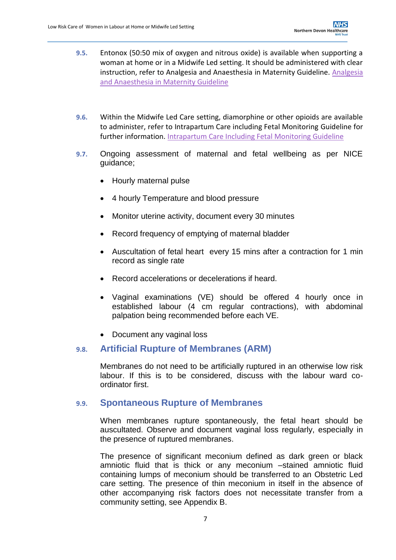- **9.5.** Entonox (50:50 mix of oxygen and nitrous oxide) is available when supporting a woman at home or in a Midwife Led setting. It should be administered with clear instruction, refer to Analgesia and Anaesthesia in Maternity Guideline. [Analgesia](https://www.northdevonhealth.nhs.uk/wp-content/uploads/2018/06/Analgesia-and-anaesthesia-in-maternity-guideline-v1.0-for-public-website.pdf)  [and Anaesthesia in Maternity Guideline](https://www.northdevonhealth.nhs.uk/wp-content/uploads/2018/06/Analgesia-and-anaesthesia-in-maternity-guideline-v1.0-for-public-website.pdf)
- **9.6.** Within the Midwife Led Care setting, diamorphine or other opioids are available to administer, refer to Intrapartum Care including Fetal Monitoring Guideline for further information. [Intrapartum Care Including Fetal Monitoring Guideline](https://www.northdevonhealth.nhs.uk/wp-content/uploads/2018/06/Intrapartum-care-of-healthy-women-and-their-babies-during-childbirth-for-public-website.pdf)
- **9.7.** Ongoing assessment of maternal and fetal wellbeing as per NICE guidance;
	- Hourly maternal pulse
	- 4 hourly Temperature and blood pressure
	- Monitor uterine activity, document every 30 minutes
	- Record frequency of emptying of maternal bladder
	- Auscultation of fetal heart every 15 mins after a contraction for 1 min record as single rate
	- Record accelerations or decelerations if heard.
	- Vaginal examinations (VE) should be offered 4 hourly once in established labour (4 cm regular contractions), with abdominal palpation being recommended before each VE.
	- Document any vaginal loss

#### **9.8. Artificial Rupture of Membranes (ARM)**

Membranes do not need to be artificially ruptured in an otherwise low risk labour. If this is to be considered, discuss with the labour ward coordinator first.

#### **9.9. Spontaneous Rupture of Membranes**

When membranes rupture spontaneously, the fetal heart should be auscultated. Observe and document vaginal loss regularly, especially in the presence of ruptured membranes.

The presence of significant meconium defined as dark green or black amniotic fluid that is thick or any meconium –stained amniotic fluid containing lumps of meconium should be transferred to an Obstetric Led care setting. The presence of thin meconium in itself in the absence of other accompanying risk factors does not necessitate transfer from a community setting, see Appendix B.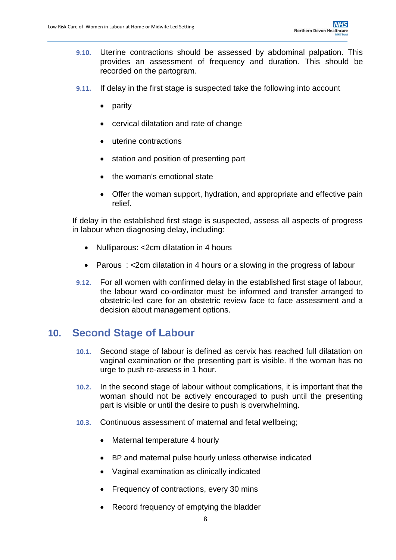- **9.10.** Uterine contractions should be assessed by abdominal palpation. This provides an assessment of frequency and duration. This should be recorded on the partogram.
- **9.11.** If delay in the first stage is suspected take the following into account
	- parity
	- cervical dilatation and rate of change
	- uterine contractions
	- station and position of presenting part
	- the woman's emotional state
	- Offer the woman support, hydration, and appropriate and effective pain relief.

If delay in the established first stage is suspected, assess all aspects of progress in labour when diagnosing delay, including:

- Nulliparous: <2cm dilatation in 4 hours
- Parous: <2cm dilatation in 4 hours or a slowing in the progress of labour
- **9.12.** For all women with confirmed delay in the established first stage of labour, the labour ward co-ordinator must be informed and transfer arranged to obstetric-led care for an obstetric review face to face assessment and a decision about management options.

### <span id="page-7-0"></span>**10. Second Stage of Labour**

- **10.1.** Second stage of labour is defined as cervix has reached full dilatation on vaginal examination or the presenting part is visible. If the woman has no urge to push re-assess in 1 hour.
- **10.2.** In the second stage of labour without complications, it is important that the woman should not be actively encouraged to push until the presenting part is visible or until the desire to push is overwhelming.
- **10.3.** Continuous assessment of maternal and fetal wellbeing;
	- Maternal temperature 4 hourly
	- BP and maternal pulse hourly unless otherwise indicated
	- Vaginal examination as clinically indicated
	- Frequency of contractions, every 30 mins
	- Record frequency of emptying the bladder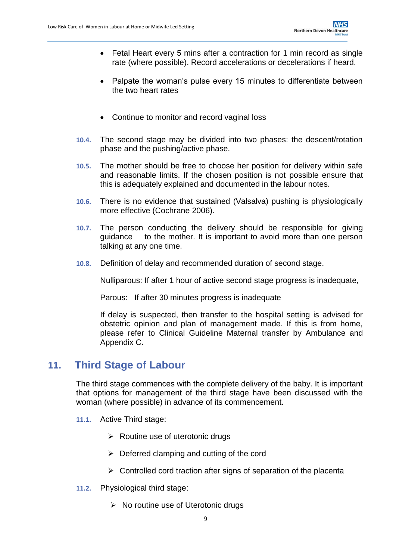- Fetal Heart every 5 mins after a contraction for 1 min record as single rate (where possible). Record accelerations or decelerations if heard.
- Palpate the woman's pulse every 15 minutes to differentiate between the two heart rates
- Continue to monitor and record vaginal loss
- **10.4.** The second stage may be divided into two phases: the descent/rotation phase and the pushing/active phase.
- **10.5.** The mother should be free to choose her position for delivery within safe and reasonable limits. If the chosen position is not possible ensure that this is adequately explained and documented in the labour notes.
- **10.6.** There is no evidence that sustained (Valsalva) pushing is physiologically more effective (Cochrane 2006).
- **10.7.** The person conducting the delivery should be responsible for giving guidance to the mother. It is important to avoid more than one person talking at any one time.
- **10.8.** Definition of delay and recommended duration of second stage.

Nulliparous: If after 1 hour of active second stage progress is inadequate,

Parous: If after 30 minutes progress is inadequate

If delay is suspected, then transfer to the hospital setting is advised for obstetric opinion and plan of management made. If this is from home, please refer to Clinical Guideline Maternal transfer by Ambulance and Appendix C**.**

## **11. Third Stage of Labour**

<span id="page-8-0"></span>The third stage commences with the complete delivery of the baby. It is important that options for management of the third stage have been discussed with the woman (where possible) in advance of its commencement.

- **11.1.** Active Third stage:
	- $\triangleright$  Routine use of uterotonic drugs
	- $\triangleright$  Deferred clamping and cutting of the cord
	- $\triangleright$  Controlled cord traction after signs of separation of the placenta
- **11.2.** Physiological third stage:
	- $\triangleright$  No routine use of Uterotonic drugs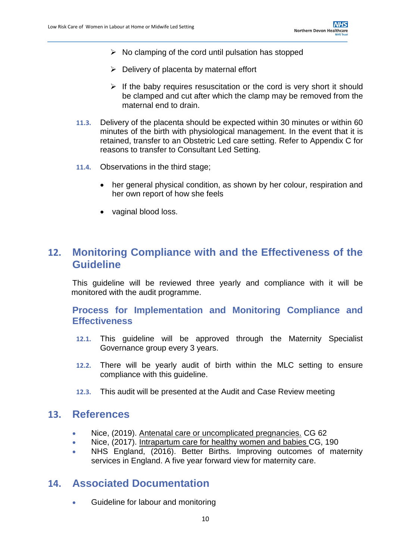- $\triangleright$  No clamping of the cord until pulsation has stopped
- $\triangleright$  Delivery of placenta by maternal effort
- $\triangleright$  If the baby requires resuscitation or the cord is very short it should be clamped and cut after which the clamp may be removed from the maternal end to drain.
- **11.3.** Delivery of the placenta should be expected within 30 minutes or within 60 minutes of the birth with physiological management. In the event that it is retained, transfer to an Obstetric Led care setting. Refer to Appendix C for reasons to transfer to Consultant Led Setting.
- **11.4.** Observations in the third stage;
	- her general physical condition, as shown by her colour, respiration and her own report of how she feels
	- vaginal blood loss.

## <span id="page-9-0"></span>**12. Monitoring Compliance with and the Effectiveness of the Guideline**

This guideline will be reviewed three yearly and compliance with it will be monitored with the audit programme.

### <span id="page-9-1"></span>**Process for Implementation and Monitoring Compliance and Effectiveness**

- **12.1.** This guideline will be approved through the Maternity Specialist Governance group every 3 years.
- **12.2.** There will be yearly audit of birth within the MLC setting to ensure compliance with this guideline.
- **12.3.** This audit will be presented at the Audit and Case Review meeting

### <span id="page-9-2"></span>**13. References**

- Nice, (2019). Antenatal care or uncomplicated pregnancies. CG 62
- Nice, (2017). Intrapartum care for healthy women and babies CG, 190
- NHS England, (2016). Better Births. Improving outcomes of maternity services in England. A five year forward view for maternity care.

### <span id="page-9-3"></span>**14. Associated Documentation**

Guideline for labour and monitoring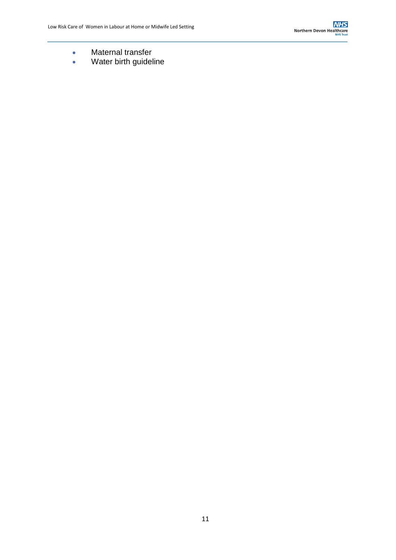- **•** Maternal transfer
- Water birth guideline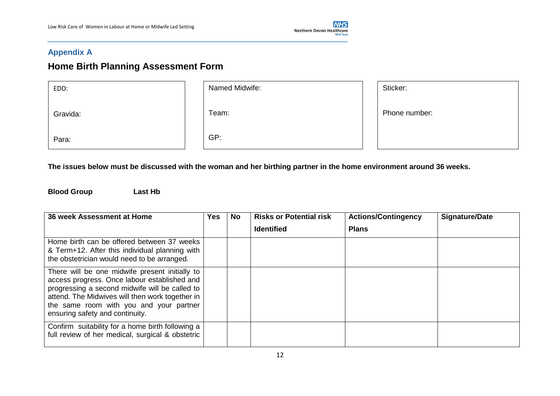

#### **Appendix A**

# **Home Birth Planning Assessment Form**

| EDD:     | Named Midwife: | Sticker:      |
|----------|----------------|---------------|
| Gravida: | Team:          | Phone number: |
| Para:    | GP:            |               |

**The issues below must be discussed with the woman and her birthing partner in the home environment around 36 weeks.**

**Blood Group Last Hb**

| 36 week Assessment at Home                                                                                                                                                                                                                                                        | <b>Yes</b> | <b>No</b> | <b>Risks or Potential risk</b><br><b>Identified</b> | <b>Actions/Contingency</b><br><b>Plans</b> | <b>Signature/Date</b> |
|-----------------------------------------------------------------------------------------------------------------------------------------------------------------------------------------------------------------------------------------------------------------------------------|------------|-----------|-----------------------------------------------------|--------------------------------------------|-----------------------|
| Home birth can be offered between 37 weeks<br>& Term+12. After this individual planning with<br>the obstetrician would need to be arranged.                                                                                                                                       |            |           |                                                     |                                            |                       |
| There will be one midwife present initially to<br>access progress. Once labour established and<br>progressing a second midwife will be called to<br>attend. The Midwives will then work together in<br>the same room with you and your partner<br>ensuring safety and continuity. |            |           |                                                     |                                            |                       |
| Confirm suitability for a home birth following a<br>full review of her medical, surgical & obstetric                                                                                                                                                                              |            |           |                                                     |                                            |                       |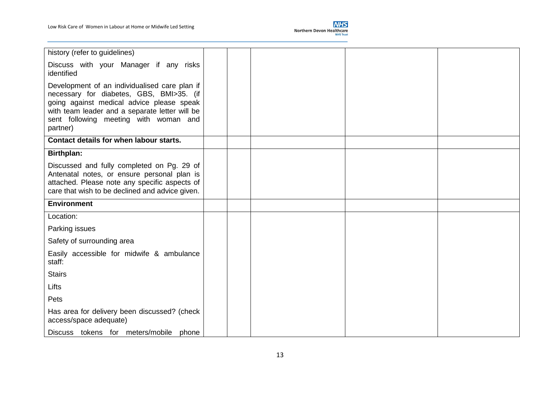

| history (refer to guidelines)                                                                                                                                                                                                                 |  |  |  |
|-----------------------------------------------------------------------------------------------------------------------------------------------------------------------------------------------------------------------------------------------|--|--|--|
| Discuss with your Manager if any risks<br>identified                                                                                                                                                                                          |  |  |  |
| Development of an individualised care plan if<br>necessary for diabetes, GBS, BMI>35. (if<br>going against medical advice please speak<br>with team leader and a separate letter will be<br>sent following meeting with woman and<br>partner) |  |  |  |
| Contact details for when labour starts.                                                                                                                                                                                                       |  |  |  |
| <b>Birthplan:</b>                                                                                                                                                                                                                             |  |  |  |
| Discussed and fully completed on Pg. 29 of<br>Antenatal notes, or ensure personal plan is<br>attached. Please note any specific aspects of<br>care that wish to be declined and advice given.                                                 |  |  |  |
| <b>Environment</b>                                                                                                                                                                                                                            |  |  |  |
| Location:                                                                                                                                                                                                                                     |  |  |  |
| Parking issues                                                                                                                                                                                                                                |  |  |  |
| Safety of surrounding area                                                                                                                                                                                                                    |  |  |  |
| Easily accessible for midwife & ambulance<br>staff:                                                                                                                                                                                           |  |  |  |
| <b>Stairs</b>                                                                                                                                                                                                                                 |  |  |  |
| Lifts                                                                                                                                                                                                                                         |  |  |  |
| Pets                                                                                                                                                                                                                                          |  |  |  |
| Has area for delivery been discussed? (check<br>access/space adequate)                                                                                                                                                                        |  |  |  |
| Discuss tokens for meters/mobile phone                                                                                                                                                                                                        |  |  |  |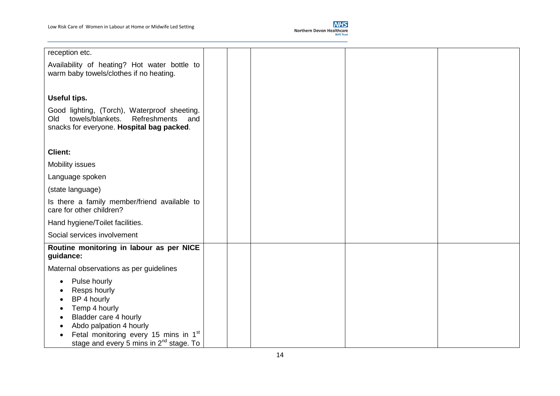

| reception etc.                                                                                                                                     |  |  |  |
|----------------------------------------------------------------------------------------------------------------------------------------------------|--|--|--|
| Availability of heating? Hot water bottle to<br>warm baby towels/clothes if no heating.                                                            |  |  |  |
|                                                                                                                                                    |  |  |  |
| Useful tips.                                                                                                                                       |  |  |  |
| Good lighting, (Torch), Waterproof sheeting.<br>towels/blankets.<br>Old<br><b>Refreshments</b><br>and<br>snacks for everyone. Hospital bag packed. |  |  |  |
| <b>Client:</b>                                                                                                                                     |  |  |  |
| <b>Mobility issues</b>                                                                                                                             |  |  |  |
| Language spoken                                                                                                                                    |  |  |  |
| (state language)                                                                                                                                   |  |  |  |
|                                                                                                                                                    |  |  |  |
| Is there a family member/friend available to<br>care for other children?                                                                           |  |  |  |
| Hand hygiene/Toilet facilities.                                                                                                                    |  |  |  |
| Social services involvement                                                                                                                        |  |  |  |
| Routine monitoring in labour as per NICE<br>guidance:                                                                                              |  |  |  |
| Maternal observations as per guidelines                                                                                                            |  |  |  |
| Pulse hourly                                                                                                                                       |  |  |  |
| Resps hourly                                                                                                                                       |  |  |  |
| BP 4 hourly<br>Temp 4 hourly                                                                                                                       |  |  |  |
| Bladder care 4 hourly                                                                                                                              |  |  |  |
| Abdo palpation 4 hourly                                                                                                                            |  |  |  |
| Fetal monitoring every 15 mins in 1 <sup>st</sup><br>stage and every 5 mins in 2 <sup>nd</sup> stage. To                                           |  |  |  |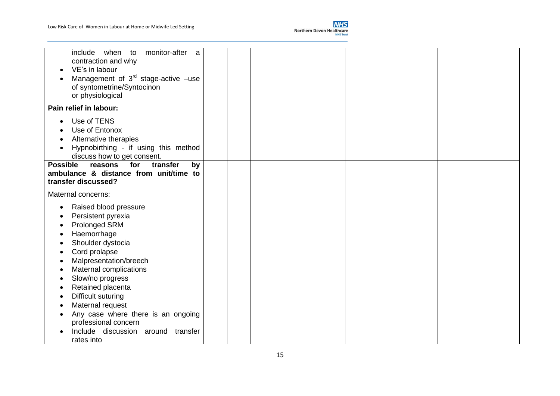

| include when<br>monitor-after<br>to<br>a<br>contraction and why<br>VE's in labour<br>Management of $3^{rd}$ stage-active -use<br>of syntometrine/Syntocinon<br>or physiological                                                                                                                                                                                     |  |  |
|---------------------------------------------------------------------------------------------------------------------------------------------------------------------------------------------------------------------------------------------------------------------------------------------------------------------------------------------------------------------|--|--|
| Pain relief in labour:                                                                                                                                                                                                                                                                                                                                              |  |  |
| Use of TENS<br>Use of Entonox<br>Alternative therapies<br>Hypnobirthing - if using this method<br>discuss how to get consent.                                                                                                                                                                                                                                       |  |  |
| <b>Possible</b><br>for<br>transfer<br>reasons<br>by<br>ambulance & distance from unit/time to<br>transfer discussed?                                                                                                                                                                                                                                                |  |  |
| Maternal concerns:                                                                                                                                                                                                                                                                                                                                                  |  |  |
| Raised blood pressure<br>Persistent pyrexia<br><b>Prolonged SRM</b><br>Haemorrhage<br>Shoulder dystocia<br>Cord prolapse<br>Malpresentation/breech<br>Maternal complications<br>Slow/no progress<br>Retained placenta<br>Difficult suturing<br>Maternal request<br>Any case where there is an ongoing<br>professional concern<br>Include discussion around transfer |  |  |
| rates into                                                                                                                                                                                                                                                                                                                                                          |  |  |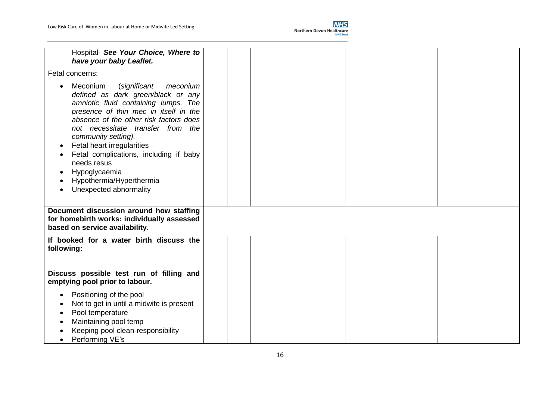

| Hospital- See Your Choice, Where to<br>have your baby Leaflet.                                                                                                                                                                                                                                                                                                                                                                               |  |  |
|----------------------------------------------------------------------------------------------------------------------------------------------------------------------------------------------------------------------------------------------------------------------------------------------------------------------------------------------------------------------------------------------------------------------------------------------|--|--|
| Fetal concerns:                                                                                                                                                                                                                                                                                                                                                                                                                              |  |  |
| Meconium<br>(significant<br>meconium<br>defined as dark green/black or any<br>amniotic fluid containing lumps. The<br>presence of thin mec in itself in the<br>absence of the other risk factors does<br>not necessitate transfer from the<br>community setting).<br>Fetal heart irregularities<br>$\bullet$<br>Fetal complications, including if baby<br>needs resus<br>Hypoglycaemia<br>Hypothermia/Hyperthermia<br>Unexpected abnormality |  |  |
| Document discussion around how staffing<br>for homebirth works: individually assessed<br>based on service availability.                                                                                                                                                                                                                                                                                                                      |  |  |
| If booked for a water birth discuss the<br>following:                                                                                                                                                                                                                                                                                                                                                                                        |  |  |
| Discuss possible test run of filling and<br>emptying pool prior to labour.                                                                                                                                                                                                                                                                                                                                                                   |  |  |
| Positioning of the pool<br>Not to get in until a midwife is present<br>Pool temperature<br>Maintaining pool temp<br>Keeping pool clean-responsibility<br>Performing VE's                                                                                                                                                                                                                                                                     |  |  |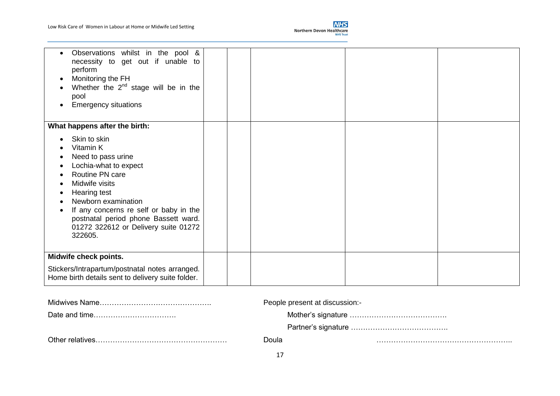

| Observations whilst in the pool &<br>$\bullet$<br>necessity to get out if unable to<br>perform<br>Monitoring the FH<br>$\bullet$<br>Whether the $2^{nd}$ stage will be in the<br>pool<br><b>Emergency situations</b><br>$\bullet$                                                                |  |  |
|--------------------------------------------------------------------------------------------------------------------------------------------------------------------------------------------------------------------------------------------------------------------------------------------------|--|--|
| What happens after the birth:                                                                                                                                                                                                                                                                    |  |  |
| Skin to skin<br>Vitamin K<br>Need to pass urine<br>Lochia-what to expect<br>Routine PN care<br>Midwife visits<br><b>Hearing test</b><br>Newborn examination<br>If any concerns re self or baby in the<br>postnatal period phone Bassett ward.<br>01272 322612 or Delivery suite 01272<br>322605. |  |  |
| Midwife check points.                                                                                                                                                                                                                                                                            |  |  |
| Stickers/Intrapartum/postnatal notes arranged.<br>Home birth details sent to delivery suite folder.                                                                                                                                                                                              |  |  |

| People present at discussion:- |  |
|--------------------------------|--|
|                                |  |
|                                |  |
| Doula                          |  |
|                                |  |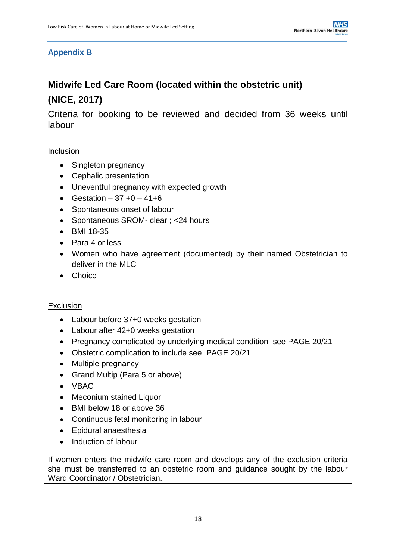### **Appendix B**

# **Midwife Led Care Room (located within the obstetric unit) (NICE, 2017)**

Criteria for booking to be reviewed and decided from 36 weeks until labour

#### **Inclusion**

- Singleton pregnancy
- Cephalic presentation
- Uneventful pregnancy with expected growth
- Gestation  $37 + 0 41 + 6$
- Spontaneous onset of labour
- Spontaneous SROM- clear ; <24 hours
- BMI 18-35
- Para 4 or less
- Women who have agreement (documented) by their named Obstetrician to deliver in the MLC
- Choice

#### **Exclusion**

- Labour before 37+0 weeks gestation
- Labour after 42+0 weeks gestation
- Pregnancy complicated by underlying medical condition see PAGE 20/21
- Obstetric complication to include see PAGE 20/21
- Multiple pregnancy
- Grand Multip (Para 5 or above)
- VBAC
- Meconium stained Liquor
- BMI below 18 or above 36
- Continuous fetal monitoring in labour
- Epidural anaesthesia
- Induction of labour

If women enters the midwife care room and develops any of the exclusion criteria she must be transferred to an obstetric room and guidance sought by the labour Ward Coordinator / Obstetrician.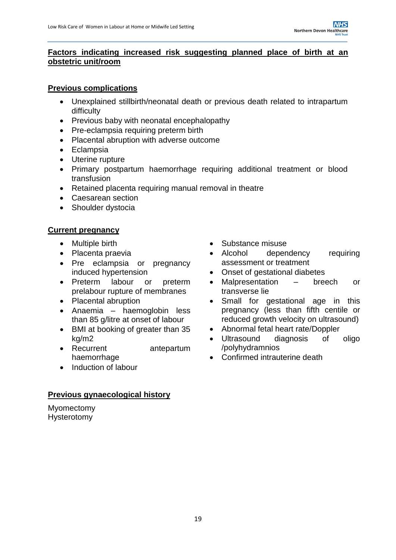#### **Factors indicating increased risk suggesting planned place of birth at an obstetric unit/room**

#### **Previous complications**

- Unexplained stillbirth/neonatal death or previous death related to intrapartum difficulty
- Previous baby with neonatal encephalopathy
- Pre-eclampsia requiring preterm birth
- Placental abruption with adverse outcome
- Eclampsia
- Uterine rupture
- Primary postpartum haemorrhage requiring additional treatment or blood transfusion
- Retained placenta requiring manual removal in theatre
- Caesarean section
- Shoulder dystocia

### **Current pregnancy**

- 
- Placenta praevia
- Pre eclampsia or pregnancy induced hypertension
- Preterm labour or preterm prelabour rupture of membranes
- Placental abruption
- Anaemia haemoglobin less than 85 g/litre at onset of labour
- BMI at booking of greater than 35 kg/m2
- Recurrent antepartum haemorrhage
- Induction of labour

### **Previous gynaecological history**

Myomectomy Hysterotomy

- Multiple birth **Caucase** Substance misuse
	- Alcohol dependency requiring assessment or treatment
	- Onset of gestational diabetes
	- Malpresentation breech or transverse lie
	- Small for gestational age in this pregnancy (less than fifth centile or reduced growth velocity on ultrasound)
	- Abnormal fetal heart rate/Doppler
	- Ultrasound diagnosis of oligo /polyhydramnios
	- Confirmed intrauterine death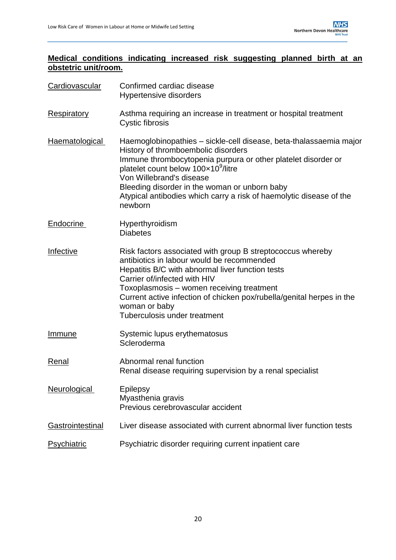### **Medical conditions indicating increased risk suggesting planned birth at an obstetric unit/room.**

| Cardiovascular          | Confirmed cardiac disease<br><b>Hypertensive disorders</b>                                                                                                                                                                                                                                                                                                                                   |  |  |  |  |
|-------------------------|----------------------------------------------------------------------------------------------------------------------------------------------------------------------------------------------------------------------------------------------------------------------------------------------------------------------------------------------------------------------------------------------|--|--|--|--|
| <b>Respiratory</b>      | Asthma requiring an increase in treatment or hospital treatment<br>Cystic fibrosis                                                                                                                                                                                                                                                                                                           |  |  |  |  |
| Haematological          | Haemoglobinopathies - sickle-cell disease, beta-thalassaemia major<br>History of thromboembolic disorders<br>Immune thrombocytopenia purpura or other platelet disorder or<br>platelet count below 100x10 <sup>9</sup> /litre<br>Von Willebrand's disease<br>Bleeding disorder in the woman or unborn baby<br>Atypical antibodies which carry a risk of haemolytic disease of the<br>newborn |  |  |  |  |
| Endocrine               | Hyperthyroidism<br><b>Diabetes</b>                                                                                                                                                                                                                                                                                                                                                           |  |  |  |  |
| Infective               | Risk factors associated with group B streptococcus whereby<br>antibiotics in labour would be recommended<br>Hepatitis B/C with abnormal liver function tests<br>Carrier of/infected with HIV<br>Toxoplasmosis - women receiving treatment<br>Current active infection of chicken pox/rubella/genital herpes in the<br>woman or baby<br>Tuberculosis under treatment                          |  |  |  |  |
| <u>Immune</u>           | Systemic lupus erythematosus<br>Scleroderma                                                                                                                                                                                                                                                                                                                                                  |  |  |  |  |
| Renal                   | Abnormal renal function<br>Renal disease requiring supervision by a renal specialist                                                                                                                                                                                                                                                                                                         |  |  |  |  |
| <b>Neurological</b>     | <b>Epilepsy</b><br>Myasthenia gravis<br>Previous cerebrovascular accident                                                                                                                                                                                                                                                                                                                    |  |  |  |  |
| <b>Gastrointestinal</b> | Liver disease associated with current abnormal liver function tests                                                                                                                                                                                                                                                                                                                          |  |  |  |  |
| Psychiatric             | Psychiatric disorder requiring current inpatient care                                                                                                                                                                                                                                                                                                                                        |  |  |  |  |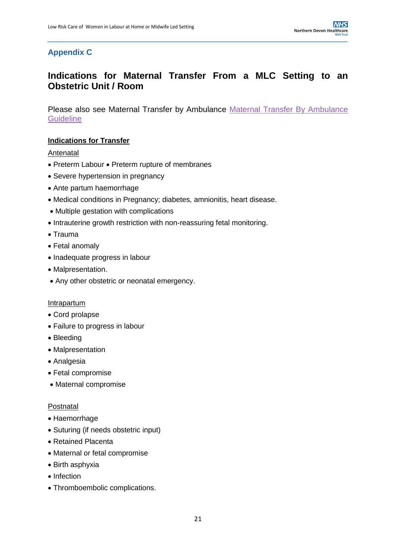### **Appendix C**

### **Indications for Maternal Transfer From a MLC Setting to an Obstetric Unit / Room**

Please also see Maternal Transfer by Ambulance [Maternal Transfer By Ambulance](https://www.northdevonhealth.nhs.uk/wp-content/uploads/2018/06/Maternal-transfer-by-Ambulance-v4.0.pdf)  **[Guideline](https://www.northdevonhealth.nhs.uk/wp-content/uploads/2018/06/Maternal-transfer-by-Ambulance-v4.0.pdf)** 

#### **Indications for Transfer**

#### **Antenatal**

- Preterm Labour Preterm rupture of membranes
- Severe hypertension in pregnancy
- Ante partum haemorrhage
- Medical conditions in Pregnancy; diabetes, amnionitis, heart disease.
- Multiple gestation with complications
- Intrauterine growth restriction with non-reassuring fetal monitoring.
- $\bullet$  Trauma
- Fetal anomaly
- Inadequate progress in labour
- Malpresentation.
- Any other obstetric or neonatal emergency.

#### **Intrapartum**

- Cord prolapse
- Failure to progress in labour
- Bleeding
- Malpresentation
- Analgesia
- Fetal compromise
- Maternal compromise

#### Postnatal

- Haemorrhage
- Suturing (if needs obstetric input)
- Retained Placenta
- Maternal or fetal compromise
- Birth asphyxia
- Infection
- Thromboembolic complications.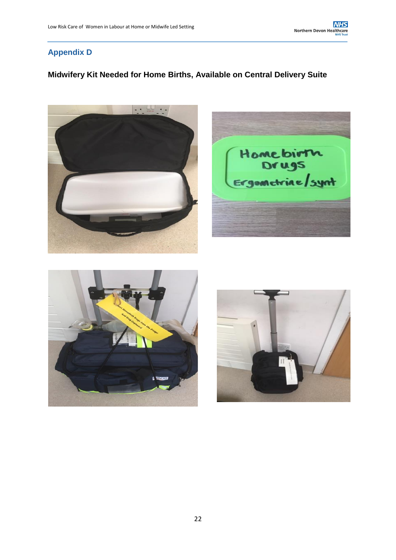### **Appendix D**

### **Midwifery Kit Needed for Home Births, Available on Central Delivery Suite**